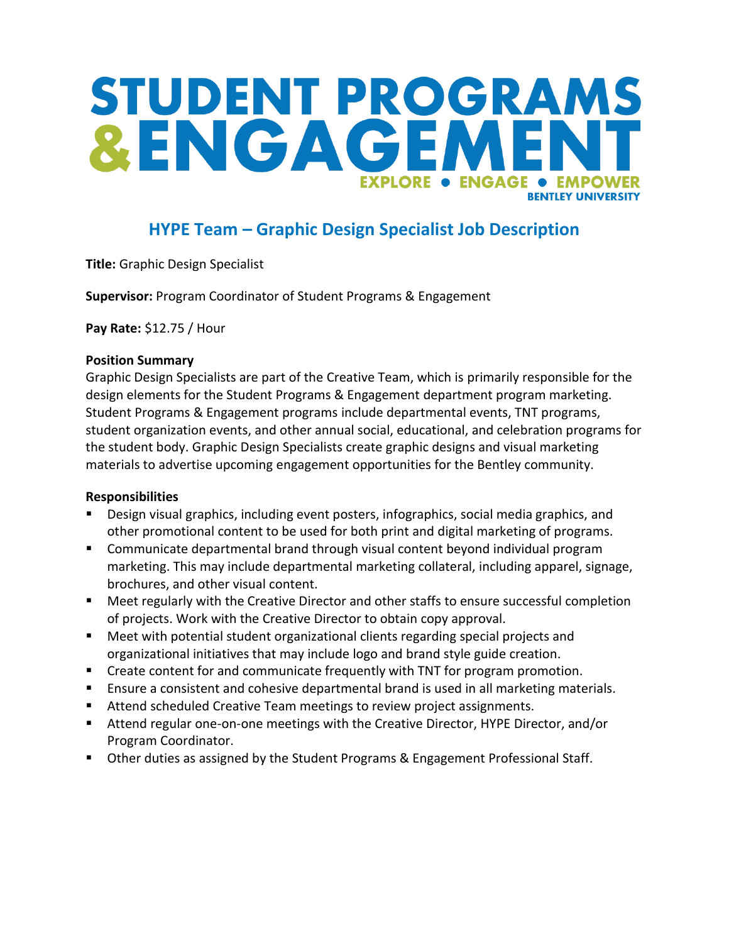# STUDENT PROGRAMS &ENGAGEM **EXPLORE . ENGAGE A FMPOW RENTI EY UNIVERSITY**

# **HYPE Team – Graphic Design Specialist Job Description**

**Title:** Graphic Design Specialist

**Supervisor:** Program Coordinator of Student Programs & Engagement

**Pay Rate:** \$12.75 / Hour

### **Position Summary**

Graphic Design Specialists are part of the Creative Team, which is primarily responsible for the design elements for the Student Programs & Engagement department program marketing. Student Programs & Engagement programs include departmental events, TNT programs, student organization events, and other annual social, educational, and celebration programs for the student body. Graphic Design Specialists create graphic designs and visual marketing materials to advertise upcoming engagement opportunities for the Bentley community.

## **Responsibilities**

- Design visual graphics, including event posters, infographics, social media graphics, and other promotional content to be used for both print and digital marketing of programs.
- Communicate departmental brand through visual content beyond individual program marketing. This may include departmental marketing collateral, including apparel, signage, brochures, and other visual content.
- Meet regularly with the Creative Director and other staffs to ensure successful completion of projects. Work with the Creative Director to obtain copy approval.
- Meet with potential student organizational clients regarding special projects and organizational initiatives that may include logo and brand style guide creation.
- **EXP** Create content for and communicate frequently with TNT for program promotion.
- Ensure a consistent and cohesive departmental brand is used in all marketing materials.
- Attend scheduled Creative Team meetings to review project assignments.
- Attend regular one-on-one meetings with the Creative Director, HYPE Director, and/or Program Coordinator.
- **D** Other duties as assigned by the Student Programs & Engagement Professional Staff.